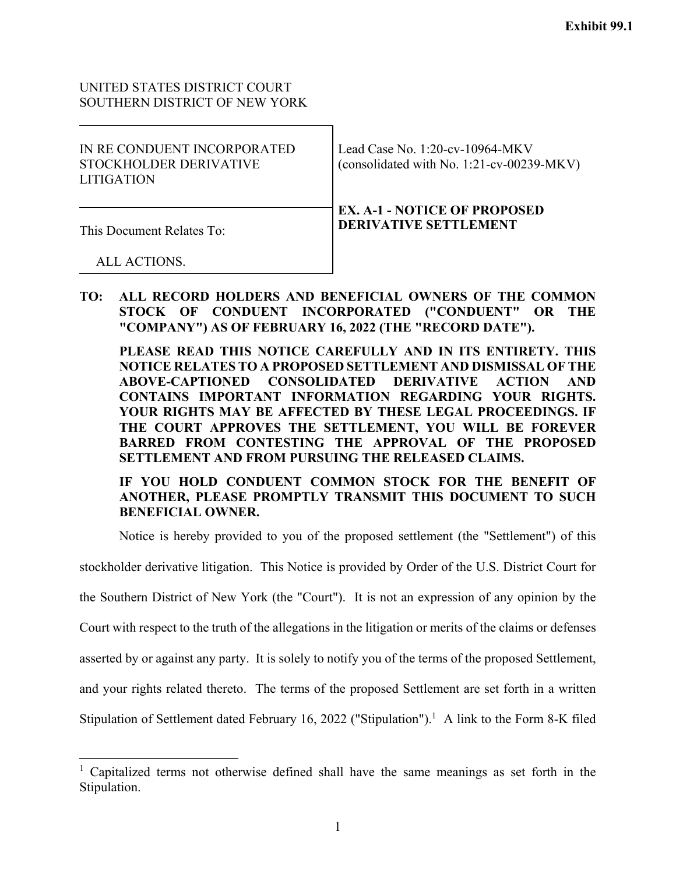# UNITED STATES DISTRICT COURT SOUTHERN DISTRICT OF NEW YORK

| IN RE CONDUENT INCORPORATED<br>STOCKHOLDER DERIVATIVE<br>LITIGATION | Lead Case No. $1:20$ -cv-10964-MKV<br>(consolidated with No. 1:21-cv-00239-MKV) |
|---------------------------------------------------------------------|---------------------------------------------------------------------------------|
| This Document Relates To:                                           | <b>EX. A-1 - NOTICE OF PROPOSED</b><br><b>DERIVATIVE SETTLEMENT</b>             |
| ALL ACTIONS.                                                        |                                                                                 |

**TO: ALL RECORD HOLDERS AND BENEFICIAL OWNERS OF THE COMMON STOCK OF CONDUENT INCORPORATED ("CONDUENT" OR THE "COMPANY") AS OF FEBRUARY 16, 2022 (THE "RECORD DATE").** 

**PLEASE READ THIS NOTICE CAREFULLY AND IN ITS ENTIRETY. THIS NOTICE RELATES TO A PROPOSED SETTLEMENT AND DISMISSAL OF THE ABOVE-CAPTIONED CONSOLIDATED DERIVATIVE ACTION AND CONTAINS IMPORTANT INFORMATION REGARDING YOUR RIGHTS. YOUR RIGHTS MAY BE AFFECTED BY THESE LEGAL PROCEEDINGS. IF THE COURT APPROVES THE SETTLEMENT, YOU WILL BE FOREVER BARRED FROM CONTESTING THE APPROVAL OF THE PROPOSED SETTLEMENT AND FROM PURSUING THE RELEASED CLAIMS.** 

**IF YOU HOLD CONDUENT COMMON STOCK FOR THE BENEFIT OF ANOTHER, PLEASE PROMPTLY TRANSMIT THIS DOCUMENT TO SUCH BENEFICIAL OWNER.** 

Notice is hereby provided to you of the proposed settlement (the "Settlement") of this

stockholder derivative litigation. This Notice is provided by Order of the U.S. District Court for

the Southern District of New York (the "Court"). It is not an expression of any opinion by the

Court with respect to the truth of the allegations in the litigation or merits of the claims or defenses

asserted by or against any party. It is solely to notify you of the terms of the proposed Settlement,

and your rights related thereto. The terms of the proposed Settlement are set forth in a written

Stipulation of Settlement dated February 16, 2022 ("Stipulation").<sup>1</sup> A link to the Form 8-K filed

<sup>&</sup>lt;sup>1</sup> Capitalized terms not otherwise defined shall have the same meanings as set forth in the Stipulation.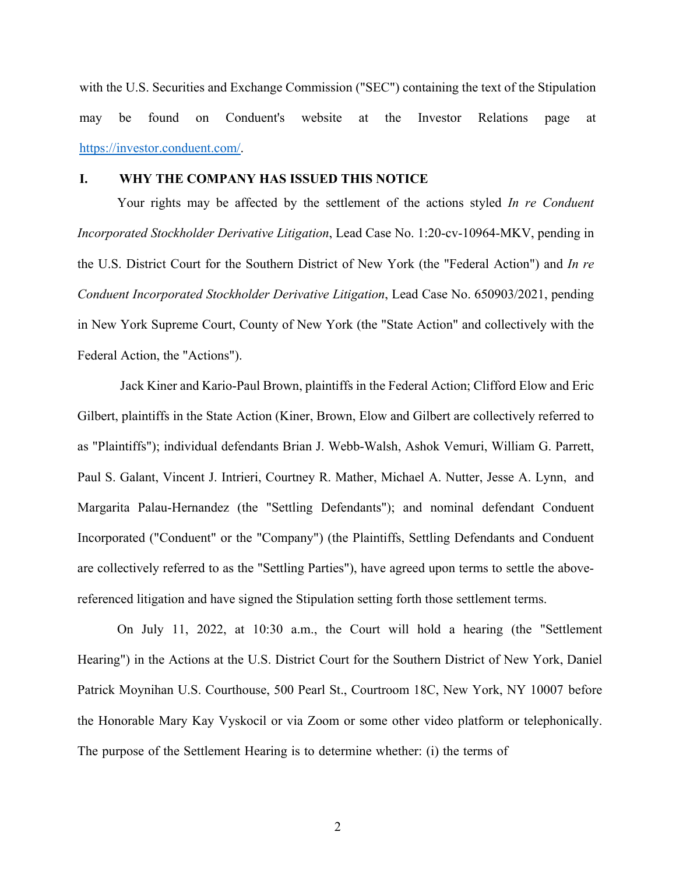with the U.S. Securities and Exchange Commission ("SEC") containing the text of the Stipulation may be found on Conduent's website at the Investor Relations page at https://investor.conduent.com/.

## **I. WHY THE COMPANY HAS ISSUED THIS NOTICE**

Your rights may be affected by the settlement of the actions styled *In re Conduent Incorporated Stockholder Derivative Litigation*, Lead Case No. 1:20-cv-10964-MKV, pending in the U.S. District Court for the Southern District of New York (the "Federal Action") and *In re Conduent Incorporated Stockholder Derivative Litigation*, Lead Case No. 650903/2021, pending in New York Supreme Court, County of New York (the "State Action" and collectively with the Federal Action, the "Actions").

 Jack Kiner and Kario-Paul Brown, plaintiffs in the Federal Action; Clifford Elow and Eric Gilbert, plaintiffs in the State Action (Kiner, Brown, Elow and Gilbert are collectively referred to as "Plaintiffs"); individual defendants Brian J. Webb-Walsh, Ashok Vemuri, William G. Parrett, Paul S. Galant, Vincent J. Intrieri, Courtney R. Mather, Michael A. Nutter, Jesse A. Lynn, and Margarita Palau-Hernandez (the "Settling Defendants"); and nominal defendant Conduent Incorporated ("Conduent" or the "Company") (the Plaintiffs, Settling Defendants and Conduent are collectively referred to as the "Settling Parties"), have agreed upon terms to settle the abovereferenced litigation and have signed the Stipulation setting forth those settlement terms.

On July 11, 2022, at 10:30 a.m., the Court will hold a hearing (the "Settlement Hearing") in the Actions at the U.S. District Court for the Southern District of New York, Daniel Patrick Moynihan U.S. Courthouse, 500 Pearl St., Courtroom 18C, New York, NY 10007 before the Honorable Mary Kay Vyskocil or via Zoom or some other video platform or telephonically. The purpose of the Settlement Hearing is to determine whether: (i) the terms of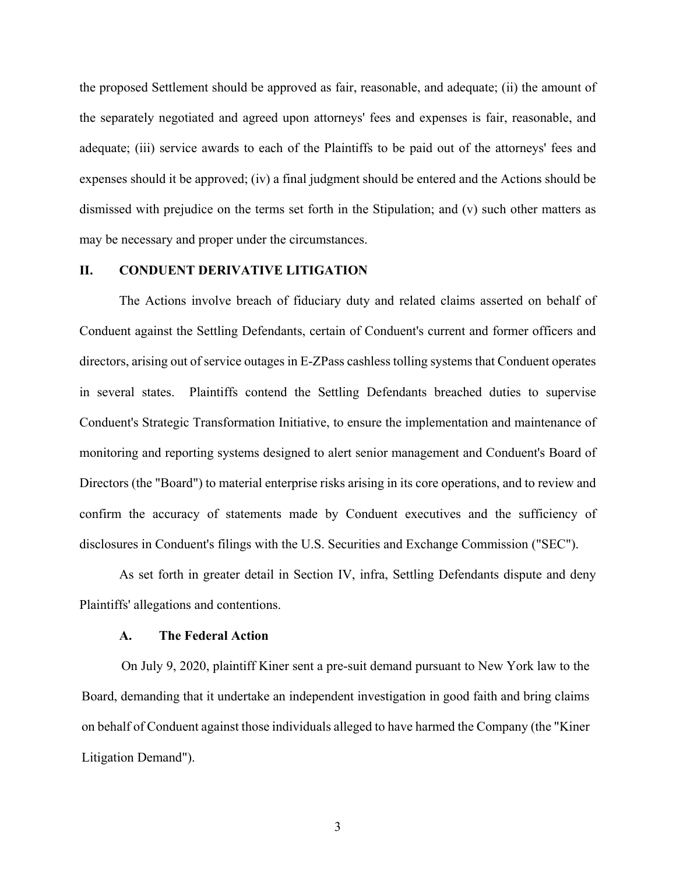the proposed Settlement should be approved as fair, reasonable, and adequate; (ii) the amount of the separately negotiated and agreed upon attorneys' fees and expenses is fair, reasonable, and adequate; (iii) service awards to each of the Plaintiffs to be paid out of the attorneys' fees and expenses should it be approved; (iv) a final judgment should be entered and the Actions should be dismissed with prejudice on the terms set forth in the Stipulation; and (v) such other matters as may be necessary and proper under the circumstances.

## **II. CONDUENT DERIVATIVE LITIGATION**

The Actions involve breach of fiduciary duty and related claims asserted on behalf of Conduent against the Settling Defendants, certain of Conduent's current and former officers and directors, arising out of service outages in E-ZPass cashless tolling systems that Conduent operates in several states. Plaintiffs contend the Settling Defendants breached duties to supervise Conduent's Strategic Transformation Initiative, to ensure the implementation and maintenance of monitoring and reporting systems designed to alert senior management and Conduent's Board of Directors (the "Board") to material enterprise risks arising in its core operations, and to review and confirm the accuracy of statements made by Conduent executives and the sufficiency of disclosures in Conduent's filings with the U.S. Securities and Exchange Commission ("SEC").

As set forth in greater detail in Section IV, infra, Settling Defendants dispute and deny Plaintiffs' allegations and contentions.

#### **A. The Federal Action**

On July 9, 2020, plaintiff Kiner sent a pre-suit demand pursuant to New York law to the Board, demanding that it undertake an independent investigation in good faith and bring claims on behalf of Conduent against those individuals alleged to have harmed the Company (the "Kiner Litigation Demand").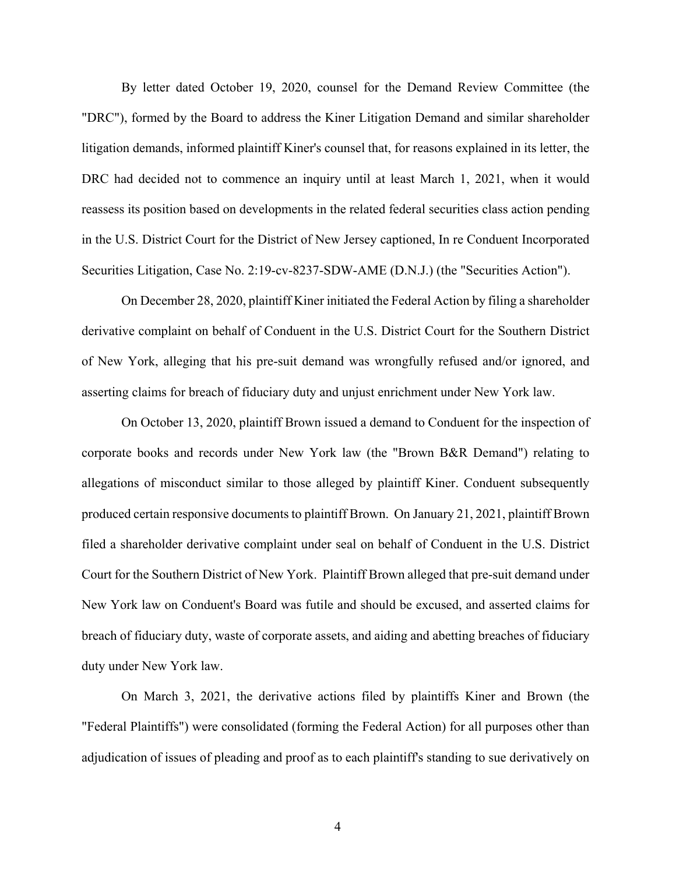By letter dated October 19, 2020, counsel for the Demand Review Committee (the "DRC"), formed by the Board to address the Kiner Litigation Demand and similar shareholder litigation demands, informed plaintiff Kiner's counsel that, for reasons explained in its letter, the DRC had decided not to commence an inquiry until at least March 1, 2021, when it would reassess its position based on developments in the related federal securities class action pending in the U.S. District Court for the District of New Jersey captioned, In re Conduent Incorporated Securities Litigation, Case No. 2:19-cv-8237-SDW-AME (D.N.J.) (the "Securities Action").

On December 28, 2020, plaintiff Kiner initiated the Federal Action by filing a shareholder derivative complaint on behalf of Conduent in the U.S. District Court for the Southern District of New York, alleging that his pre-suit demand was wrongfully refused and/or ignored, and asserting claims for breach of fiduciary duty and unjust enrichment under New York law.

On October 13, 2020, plaintiff Brown issued a demand to Conduent for the inspection of corporate books and records under New York law (the "Brown B&R Demand") relating to allegations of misconduct similar to those alleged by plaintiff Kiner. Conduent subsequently produced certain responsive documents to plaintiff Brown. On January 21, 2021, plaintiff Brown filed a shareholder derivative complaint under seal on behalf of Conduent in the U.S. District Court for the Southern District of New York. Plaintiff Brown alleged that pre-suit demand under New York law on Conduent's Board was futile and should be excused, and asserted claims for breach of fiduciary duty, waste of corporate assets, and aiding and abetting breaches of fiduciary duty under New York law.

On March 3, 2021, the derivative actions filed by plaintiffs Kiner and Brown (the "Federal Plaintiffs") were consolidated (forming the Federal Action) for all purposes other than adjudication of issues of pleading and proof as to each plaintiff's standing to sue derivatively on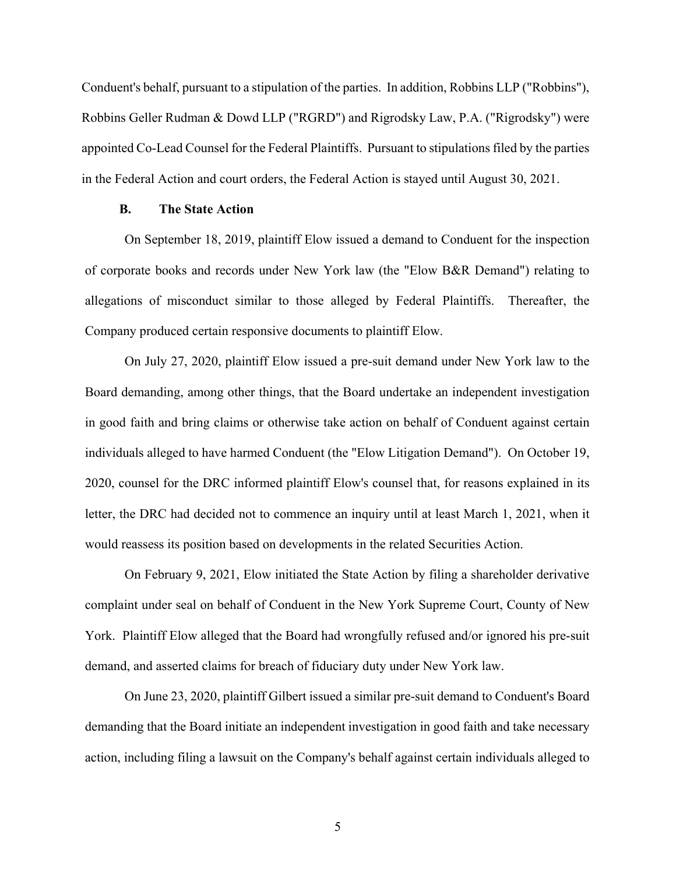Conduent's behalf, pursuant to a stipulation of the parties. In addition, Robbins LLP ("Robbins"), Robbins Geller Rudman & Dowd LLP ("RGRD") and Rigrodsky Law, P.A. ("Rigrodsky") were appointed Co-Lead Counsel for the Federal Plaintiffs. Pursuant to stipulations filed by the parties in the Federal Action and court orders, the Federal Action is stayed until August 30, 2021.

#### **B. The State Action**

On September 18, 2019, plaintiff Elow issued a demand to Conduent for the inspection of corporate books and records under New York law (the "Elow B&R Demand") relating to allegations of misconduct similar to those alleged by Federal Plaintiffs. Thereafter, the Company produced certain responsive documents to plaintiff Elow.

On July 27, 2020, plaintiff Elow issued a pre-suit demand under New York law to the Board demanding, among other things, that the Board undertake an independent investigation in good faith and bring claims or otherwise take action on behalf of Conduent against certain individuals alleged to have harmed Conduent (the "Elow Litigation Demand"). On October 19, 2020, counsel for the DRC informed plaintiff Elow's counsel that, for reasons explained in its letter, the DRC had decided not to commence an inquiry until at least March 1, 2021, when it would reassess its position based on developments in the related Securities Action.

On February 9, 2021, Elow initiated the State Action by filing a shareholder derivative complaint under seal on behalf of Conduent in the New York Supreme Court, County of New York. Plaintiff Elow alleged that the Board had wrongfully refused and/or ignored his pre-suit demand, and asserted claims for breach of fiduciary duty under New York law.

On June 23, 2020, plaintiff Gilbert issued a similar pre-suit demand to Conduent's Board demanding that the Board initiate an independent investigation in good faith and take necessary action, including filing a lawsuit on the Company's behalf against certain individuals alleged to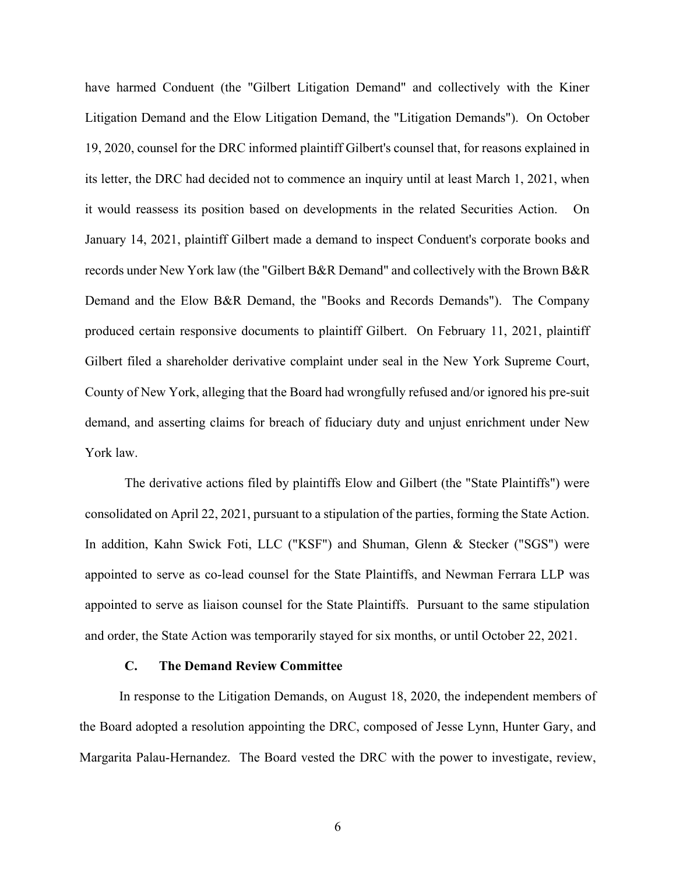have harmed Conduent (the "Gilbert Litigation Demand" and collectively with the Kiner Litigation Demand and the Elow Litigation Demand, the "Litigation Demands"). On October 19, 2020, counsel for the DRC informed plaintiff Gilbert's counsel that, for reasons explained in its letter, the DRC had decided not to commence an inquiry until at least March 1, 2021, when it would reassess its position based on developments in the related Securities Action. On January 14, 2021, plaintiff Gilbert made a demand to inspect Conduent's corporate books and records under New York law (the "Gilbert B&R Demand" and collectively with the Brown B&R Demand and the Elow B&R Demand, the "Books and Records Demands"). The Company produced certain responsive documents to plaintiff Gilbert. On February 11, 2021, plaintiff Gilbert filed a shareholder derivative complaint under seal in the New York Supreme Court, County of New York, alleging that the Board had wrongfully refused and/or ignored his pre-suit demand, and asserting claims for breach of fiduciary duty and unjust enrichment under New York law.

The derivative actions filed by plaintiffs Elow and Gilbert (the "State Plaintiffs") were consolidated on April 22, 2021, pursuant to a stipulation of the parties, forming the State Action. In addition, Kahn Swick Foti, LLC ("KSF") and Shuman, Glenn & Stecker ("SGS") were appointed to serve as co-lead counsel for the State Plaintiffs, and Newman Ferrara LLP was appointed to serve as liaison counsel for the State Plaintiffs. Pursuant to the same stipulation and order, the State Action was temporarily stayed for six months, or until October 22, 2021.

#### **C. The Demand Review Committee**

In response to the Litigation Demands, on August 18, 2020, the independent members of the Board adopted a resolution appointing the DRC, composed of Jesse Lynn, Hunter Gary, and Margarita Palau-Hernandez. The Board vested the DRC with the power to investigate, review,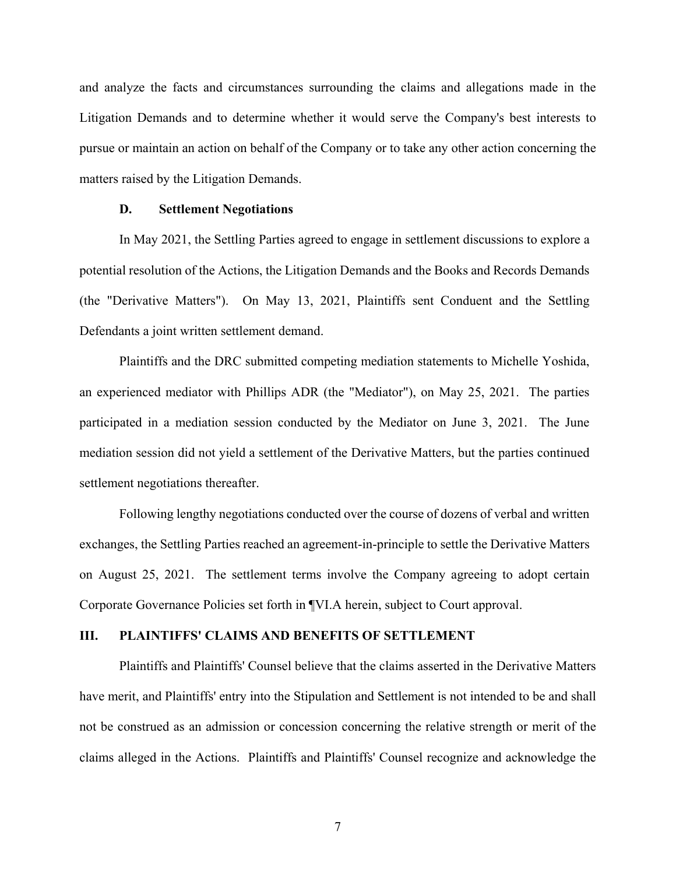and analyze the facts and circumstances surrounding the claims and allegations made in the Litigation Demands and to determine whether it would serve the Company's best interests to pursue or maintain an action on behalf of the Company or to take any other action concerning the matters raised by the Litigation Demands.

#### **D. Settlement Negotiations**

In May 2021, the Settling Parties agreed to engage in settlement discussions to explore a potential resolution of the Actions, the Litigation Demands and the Books and Records Demands (the "Derivative Matters"). On May 13, 2021, Plaintiffs sent Conduent and the Settling Defendants a joint written settlement demand.

Plaintiffs and the DRC submitted competing mediation statements to Michelle Yoshida, an experienced mediator with Phillips ADR (the "Mediator"), on May 25, 2021. The parties participated in a mediation session conducted by the Mediator on June 3, 2021. The June mediation session did not yield a settlement of the Derivative Matters, but the parties continued settlement negotiations thereafter.

Following lengthy negotiations conducted over the course of dozens of verbal and written exchanges, the Settling Parties reached an agreement-in-principle to settle the Derivative Matters on August 25, 2021. The settlement terms involve the Company agreeing to adopt certain Corporate Governance Policies set forth in ¶VI.A herein, subject to Court approval.

#### **III. PLAINTIFFS' CLAIMS AND BENEFITS OF SETTLEMENT**

Plaintiffs and Plaintiffs' Counsel believe that the claims asserted in the Derivative Matters have merit, and Plaintiffs' entry into the Stipulation and Settlement is not intended to be and shall not be construed as an admission or concession concerning the relative strength or merit of the claims alleged in the Actions. Plaintiffs and Plaintiffs' Counsel recognize and acknowledge the

7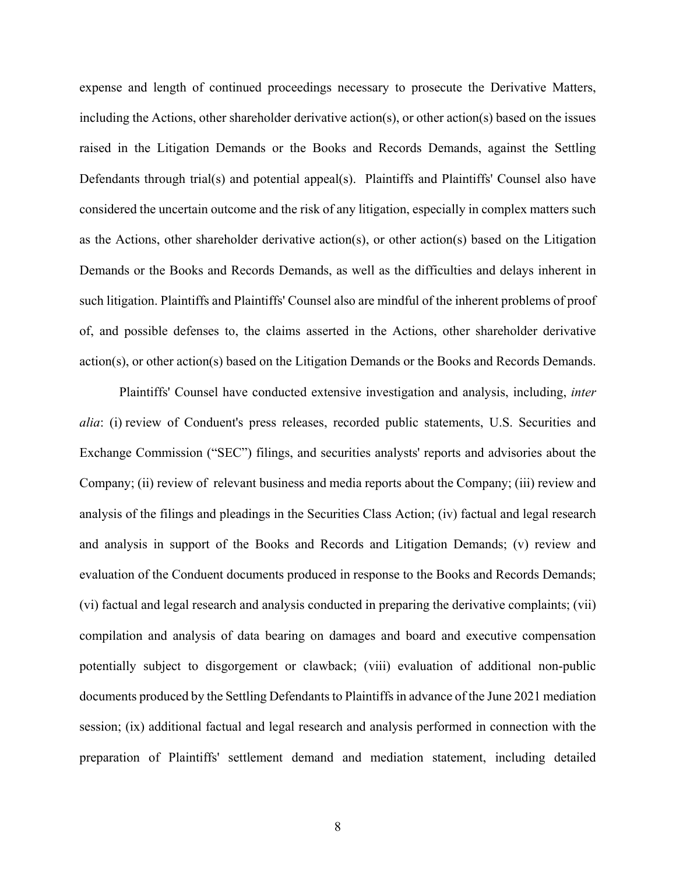expense and length of continued proceedings necessary to prosecute the Derivative Matters, including the Actions, other shareholder derivative action(s), or other action(s) based on the issues raised in the Litigation Demands or the Books and Records Demands, against the Settling Defendants through trial(s) and potential appeal(s). Plaintiffs and Plaintiffs' Counsel also have considered the uncertain outcome and the risk of any litigation, especially in complex matters such as the Actions, other shareholder derivative action(s), or other action(s) based on the Litigation Demands or the Books and Records Demands, as well as the difficulties and delays inherent in such litigation. Plaintiffs and Plaintiffs' Counsel also are mindful of the inherent problems of proof of, and possible defenses to, the claims asserted in the Actions, other shareholder derivative action(s), or other action(s) based on the Litigation Demands or the Books and Records Demands.

Plaintiffs' Counsel have conducted extensive investigation and analysis, including, *inter alia*: (i) review of Conduent's press releases, recorded public statements, U.S. Securities and Exchange Commission ("SEC") filings, and securities analysts' reports and advisories about the Company; (ii) review of relevant business and media reports about the Company; (iii) review and analysis of the filings and pleadings in the Securities Class Action; (iv) factual and legal research and analysis in support of the Books and Records and Litigation Demands; (v) review and evaluation of the Conduent documents produced in response to the Books and Records Demands; (vi) factual and legal research and analysis conducted in preparing the derivative complaints; (vii) compilation and analysis of data bearing on damages and board and executive compensation potentially subject to disgorgement or clawback; (viii) evaluation of additional non-public documents produced by the Settling Defendants to Plaintiffs in advance of the June 2021 mediation session; (ix) additional factual and legal research and analysis performed in connection with the preparation of Plaintiffs' settlement demand and mediation statement, including detailed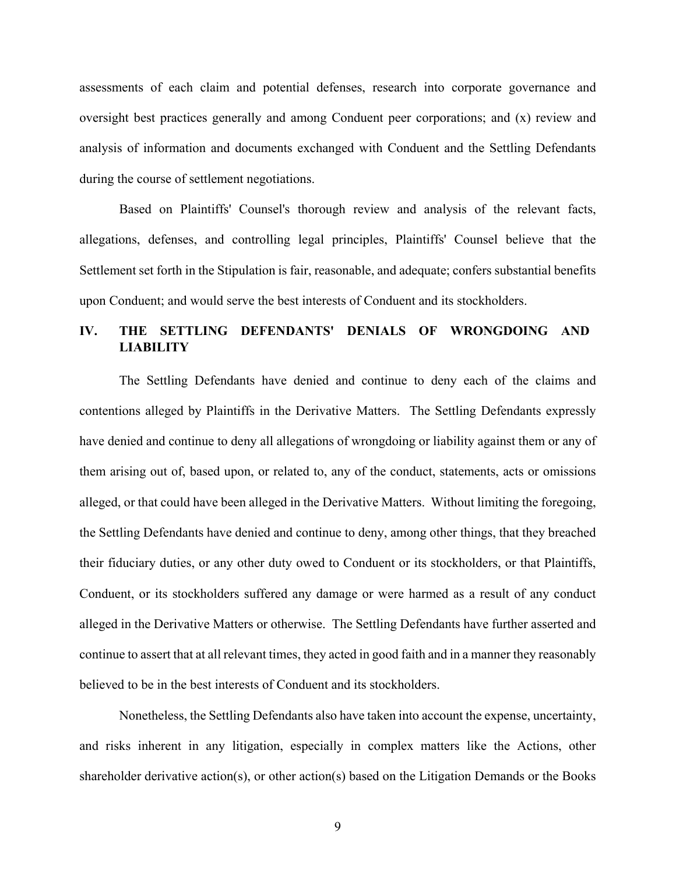assessments of each claim and potential defenses, research into corporate governance and oversight best practices generally and among Conduent peer corporations; and (x) review and analysis of information and documents exchanged with Conduent and the Settling Defendants during the course of settlement negotiations.

Based on Plaintiffs' Counsel's thorough review and analysis of the relevant facts, allegations, defenses, and controlling legal principles, Plaintiffs' Counsel believe that the Settlement set forth in the Stipulation is fair, reasonable, and adequate; confers substantial benefits upon Conduent; and would serve the best interests of Conduent and its stockholders.

# **IV. THE SETTLING DEFENDANTS' DENIALS OF WRONGDOING AND LIABILITY**

The Settling Defendants have denied and continue to deny each of the claims and contentions alleged by Plaintiffs in the Derivative Matters. The Settling Defendants expressly have denied and continue to deny all allegations of wrongdoing or liability against them or any of them arising out of, based upon, or related to, any of the conduct, statements, acts or omissions alleged, or that could have been alleged in the Derivative Matters. Without limiting the foregoing, the Settling Defendants have denied and continue to deny, among other things, that they breached their fiduciary duties, or any other duty owed to Conduent or its stockholders, or that Plaintiffs, Conduent, or its stockholders suffered any damage or were harmed as a result of any conduct alleged in the Derivative Matters or otherwise. The Settling Defendants have further asserted and continue to assert that at all relevant times, they acted in good faith and in a manner they reasonably believed to be in the best interests of Conduent and its stockholders.

Nonetheless, the Settling Defendants also have taken into account the expense, uncertainty, and risks inherent in any litigation, especially in complex matters like the Actions, other shareholder derivative action(s), or other action(s) based on the Litigation Demands or the Books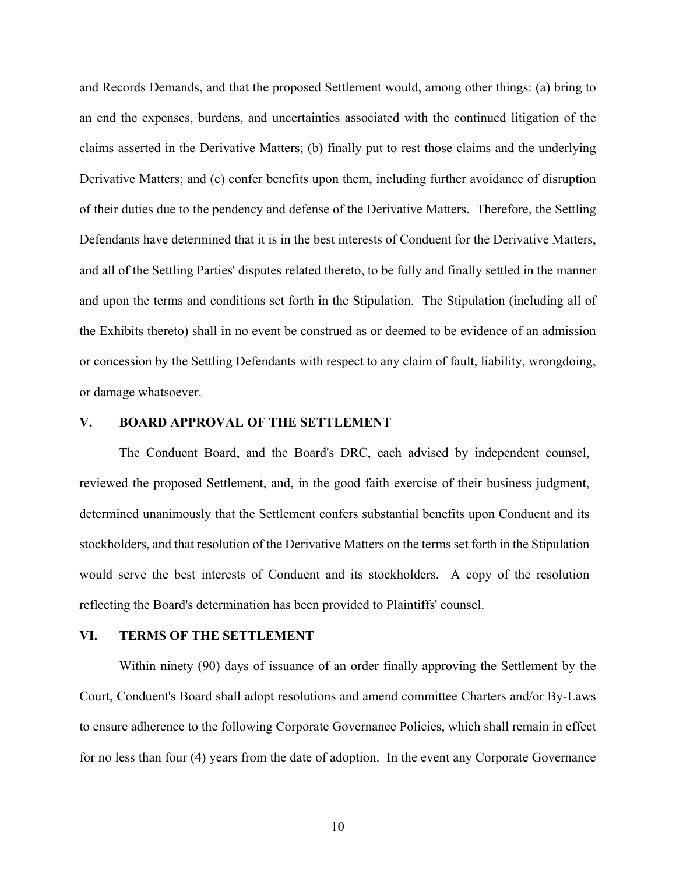and Records Demands, and that the proposed Settlement would, among other things: (a) bring to an end the expenses, burdens, and uncertainties associated with the continued litigation of the claims asserted in the Derivative Matters; (b) finally put to rest those claims and the underlying Derivative Matters; and (c) confer benefits upon them, including further avoidance of disruption of their duties due to the pendency and defense of the Derivative Matters. Therefore, the Settling Defendants have determined that it is in the best interests of Conduent for the Derivative Matters, and all of the Settling Parties' disputes related thereto, to be fully and finally settled in the manner and upon the terms and conditions set forth in the Stipulation. The Stipulation (including all of the Exhibits thereto) shall in no event be construed as or deemed to be evidence of an admission or concession by the Settling Defendants with respect to any claim of fault, liability, wrongdoing, or damage whatsoever.

#### **V. BOARD APPROVAL OF THE SETTLEMENT**

The Conduent Board, and the Board's DRC, each advised by independent counsel, reviewed the proposed Settlement, and, in the good faith exercise of their business judgment, determined unanimously that the Settlement confers substantial benefits upon Conduent and its stockholders, and that resolution of the Derivative Matters on the terms set forth in the Stipulation would serve the best interests of Conduent and its stockholders. A copy of the resolution reflecting the Board's determination has been provided to Plaintiffs' counsel.

#### **VI. TERMS OF THE SETTLEMENT**

Within ninety (90) days of issuance of an order finally approving the Settlement by the Court, Conduent's Board shall adopt resolutions and amend committee Charters and/or By-Laws to ensure adherence to the following Corporate Governance Policies, which shall remain in effect for no less than four (4) years from the date of adoption. In the event any Corporate Governance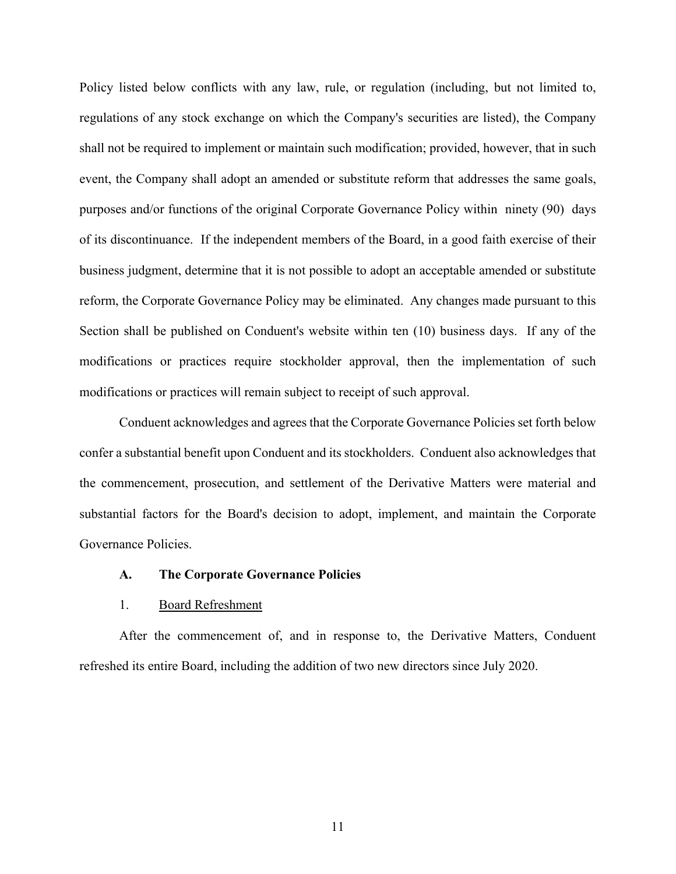Policy listed below conflicts with any law, rule, or regulation (including, but not limited to, regulations of any stock exchange on which the Company's securities are listed), the Company shall not be required to implement or maintain such modification; provided, however, that in such event, the Company shall adopt an amended or substitute reform that addresses the same goals, purposes and/or functions of the original Corporate Governance Policy within ninety (90) days of its discontinuance. If the independent members of the Board, in a good faith exercise of their business judgment, determine that it is not possible to adopt an acceptable amended or substitute reform, the Corporate Governance Policy may be eliminated. Any changes made pursuant to this Section shall be published on Conduent's website within ten (10) business days. If any of the modifications or practices require stockholder approval, then the implementation of such modifications or practices will remain subject to receipt of such approval.

 Conduent acknowledges and agrees that the Corporate Governance Policies set forth below confer a substantial benefit upon Conduent and its stockholders. Conduent also acknowledges that the commencement, prosecution, and settlement of the Derivative Matters were material and substantial factors for the Board's decision to adopt, implement, and maintain the Corporate Governance Policies.

#### **A. The Corporate Governance Policies**

#### 1. Board Refreshment

After the commencement of, and in response to, the Derivative Matters, Conduent refreshed its entire Board, including the addition of two new directors since July 2020.

11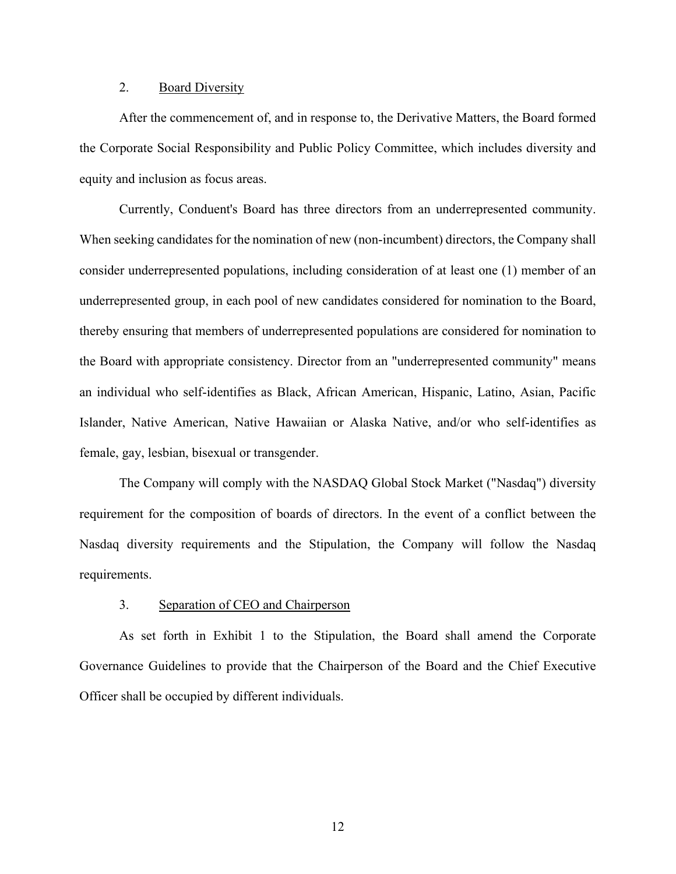## 2. Board Diversity

After the commencement of, and in response to, the Derivative Matters, the Board formed the Corporate Social Responsibility and Public Policy Committee, which includes diversity and equity and inclusion as focus areas.

Currently, Conduent's Board has three directors from an underrepresented community. When seeking candidates for the nomination of new (non-incumbent) directors, the Company shall consider underrepresented populations, including consideration of at least one (1) member of an underrepresented group, in each pool of new candidates considered for nomination to the Board, thereby ensuring that members of underrepresented populations are considered for nomination to the Board with appropriate consistency. Director from an "underrepresented community" means an individual who self-identifies as Black, African American, Hispanic, Latino, Asian, Pacific Islander, Native American, Native Hawaiian or Alaska Native, and/or who self-identifies as female, gay, lesbian, bisexual or transgender.

The Company will comply with the NASDAQ Global Stock Market ("Nasdaq") diversity requirement for the composition of boards of directors. In the event of a conflict between the Nasdaq diversity requirements and the Stipulation, the Company will follow the Nasdaq requirements.

## 3. Separation of CEO and Chairperson

As set forth in Exhibit 1 to the Stipulation, the Board shall amend the Corporate Governance Guidelines to provide that the Chairperson of the Board and the Chief Executive Officer shall be occupied by different individuals.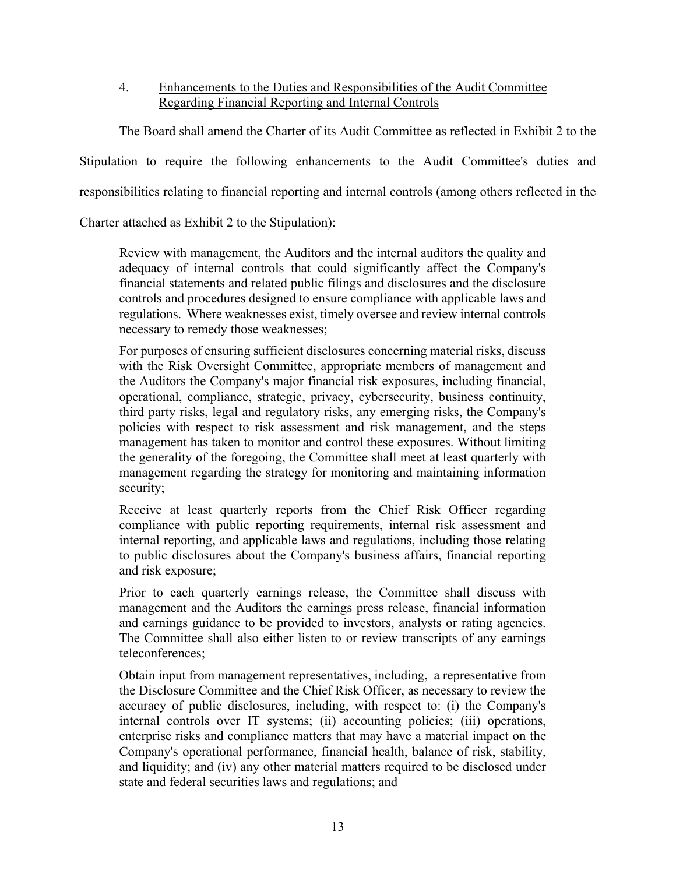4. Enhancements to the Duties and Responsibilities of the Audit Committee Regarding Financial Reporting and Internal Controls

The Board shall amend the Charter of its Audit Committee as reflected in Exhibit 2 to the Stipulation to require the following enhancements to the Audit Committee's duties and responsibilities relating to financial reporting and internal controls (among others reflected in the

Charter attached as Exhibit 2 to the Stipulation):

Review with management, the Auditors and the internal auditors the quality and adequacy of internal controls that could significantly affect the Company's financial statements and related public filings and disclosures and the disclosure controls and procedures designed to ensure compliance with applicable laws and regulations. Where weaknesses exist, timely oversee and review internal controls necessary to remedy those weaknesses;

For purposes of ensuring sufficient disclosures concerning material risks, discuss with the Risk Oversight Committee, appropriate members of management and the Auditors the Company's major financial risk exposures, including financial, operational, compliance, strategic, privacy, cybersecurity, business continuity, third party risks, legal and regulatory risks, any emerging risks, the Company's policies with respect to risk assessment and risk management, and the steps management has taken to monitor and control these exposures. Without limiting the generality of the foregoing, the Committee shall meet at least quarterly with management regarding the strategy for monitoring and maintaining information security;

Receive at least quarterly reports from the Chief Risk Officer regarding compliance with public reporting requirements, internal risk assessment and internal reporting, and applicable laws and regulations, including those relating to public disclosures about the Company's business affairs, financial reporting and risk exposure;

Prior to each quarterly earnings release, the Committee shall discuss with management and the Auditors the earnings press release, financial information and earnings guidance to be provided to investors, analysts or rating agencies. The Committee shall also either listen to or review transcripts of any earnings teleconferences;

Obtain input from management representatives, including, a representative from the Disclosure Committee and the Chief Risk Officer, as necessary to review the accuracy of public disclosures, including, with respect to: (i) the Company's internal controls over IT systems; (ii) accounting policies; (iii) operations, enterprise risks and compliance matters that may have a material impact on the Company's operational performance, financial health, balance of risk, stability, and liquidity; and (iv) any other material matters required to be disclosed under state and federal securities laws and regulations; and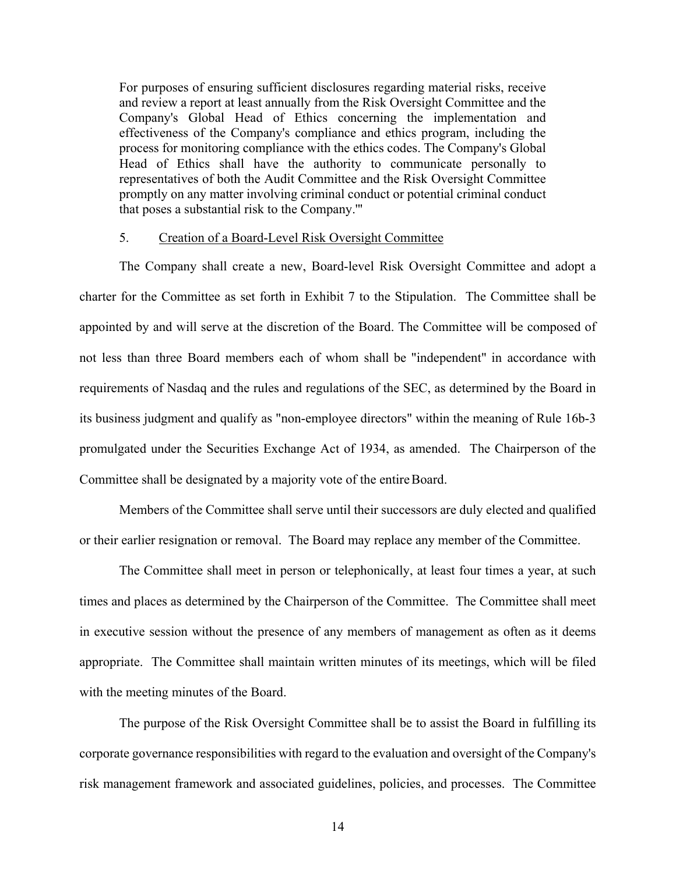For purposes of ensuring sufficient disclosures regarding material risks, receive and review a report at least annually from the Risk Oversight Committee and the Company's Global Head of Ethics concerning the implementation and effectiveness of the Company's compliance and ethics program, including the process for monitoring compliance with the ethics codes. The Company's Global Head of Ethics shall have the authority to communicate personally to representatives of both the Audit Committee and the Risk Oversight Committee promptly on any matter involving criminal conduct or potential criminal conduct that poses a substantial risk to the Company.'''

## 5. Creation of a Board-Level Risk Oversight Committee

The Company shall create a new, Board-level Risk Oversight Committee and adopt a charter for the Committee as set forth in Exhibit 7 to the Stipulation. The Committee shall be appointed by and will serve at the discretion of the Board. The Committee will be composed of not less than three Board members each of whom shall be "independent" in accordance with requirements of Nasdaq and the rules and regulations of the SEC, as determined by the Board in its business judgment and qualify as "non-employee directors" within the meaning of Rule 16b-3 promulgated under the Securities Exchange Act of 1934, as amended. The Chairperson of the Committee shall be designated by a majority vote of the entire Board.

Members of the Committee shall serve until their successors are duly elected and qualified or their earlier resignation or removal. The Board may replace any member of the Committee.

The Committee shall meet in person or telephonically, at least four times a year, at such times and places as determined by the Chairperson of the Committee. The Committee shall meet in executive session without the presence of any members of management as often as it deems appropriate. The Committee shall maintain written minutes of its meetings, which will be filed with the meeting minutes of the Board.

The purpose of the Risk Oversight Committee shall be to assist the Board in fulfilling its corporate governance responsibilities with regard to the evaluation and oversight of the Company's risk management framework and associated guidelines, policies, and processes. The Committee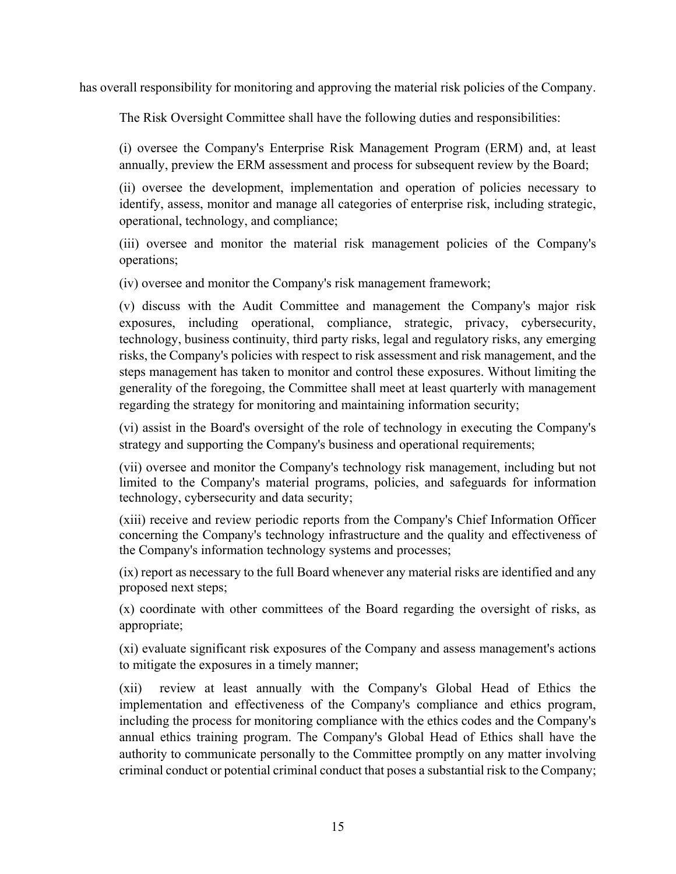has overall responsibility for monitoring and approving the material risk policies of the Company.

The Risk Oversight Committee shall have the following duties and responsibilities:

(i) oversee the Company's Enterprise Risk Management Program (ERM) and, at least annually, preview the ERM assessment and process for subsequent review by the Board;

(ii) oversee the development, implementation and operation of policies necessary to identify, assess, monitor and manage all categories of enterprise risk, including strategic, operational, technology, and compliance;

(iii) oversee and monitor the material risk management policies of the Company's operations;

(iv) oversee and monitor the Company's risk management framework;

(v) discuss with the Audit Committee and management the Company's major risk exposures, including operational, compliance, strategic, privacy, cybersecurity, technology, business continuity, third party risks, legal and regulatory risks, any emerging risks, the Company's policies with respect to risk assessment and risk management, and the steps management has taken to monitor and control these exposures. Without limiting the generality of the foregoing, the Committee shall meet at least quarterly with management regarding the strategy for monitoring and maintaining information security;

(vi) assist in the Board's oversight of the role of technology in executing the Company's strategy and supporting the Company's business and operational requirements;

(vii) oversee and monitor the Company's technology risk management, including but not limited to the Company's material programs, policies, and safeguards for information technology, cybersecurity and data security;

(xiii) receive and review periodic reports from the Company's Chief Information Officer concerning the Company's technology infrastructure and the quality and effectiveness of the Company's information technology systems and processes;

(ix) report as necessary to the full Board whenever any material risks are identified and any proposed next steps;

(x) coordinate with other committees of the Board regarding the oversight of risks, as appropriate;

(xi) evaluate significant risk exposures of the Company and assess management's actions to mitigate the exposures in a timely manner;

(xii) review at least annually with the Company's Global Head of Ethics the implementation and effectiveness of the Company's compliance and ethics program, including the process for monitoring compliance with the ethics codes and the Company's annual ethics training program. The Company's Global Head of Ethics shall have the authority to communicate personally to the Committee promptly on any matter involving criminal conduct or potential criminal conduct that poses a substantial risk to the Company;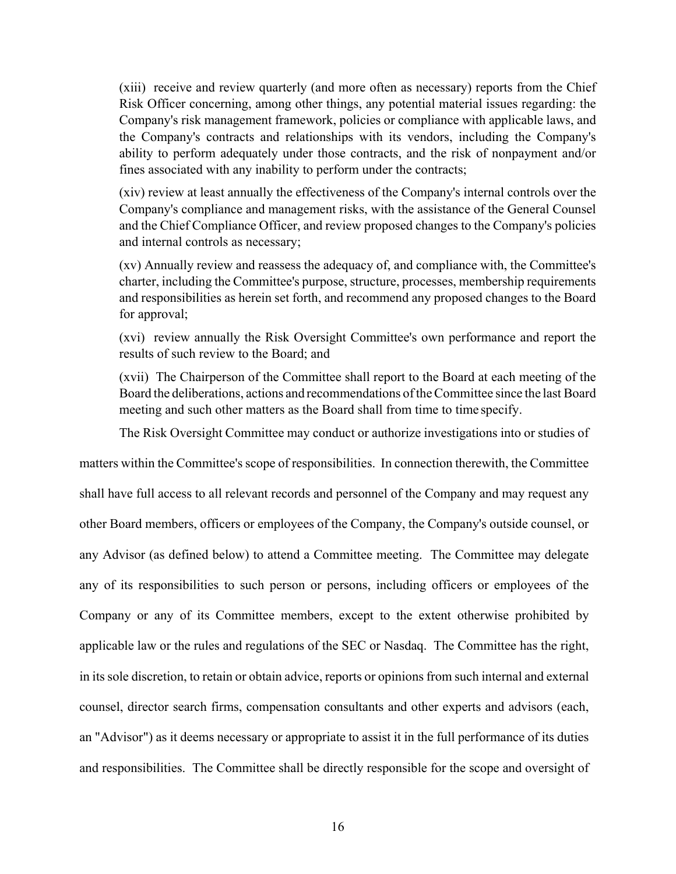(xiii) receive and review quarterly (and more often as necessary) reports from the Chief Risk Officer concerning, among other things, any potential material issues regarding: the Company's risk management framework, policies or compliance with applicable laws, and the Company's contracts and relationships with its vendors, including the Company's ability to perform adequately under those contracts, and the risk of nonpayment and/or fines associated with any inability to perform under the contracts;

(xiv) review at least annually the effectiveness of the Company's internal controls over the Company's compliance and management risks, with the assistance of the General Counsel and the Chief Compliance Officer, and review proposed changes to the Company's policies and internal controls as necessary;

(xv) Annually review and reassess the adequacy of, and compliance with, the Committee's charter, including the Committee's purpose, structure, processes, membership requirements and responsibilities as herein set forth, and recommend any proposed changes to the Board for approval;

(xvi) review annually the Risk Oversight Committee's own performance and report the results of such review to the Board; and

(xvii) The Chairperson of the Committee shall report to the Board at each meeting of the Board the deliberations, actions and recommendations of the Committee since the last Board meeting and such other matters as the Board shall from time to time specify.

The Risk Oversight Committee may conduct or authorize investigations into or studies of

matters within the Committee's scope of responsibilities. In connection therewith, the Committee shall have full access to all relevant records and personnel of the Company and may request any other Board members, officers or employees of the Company, the Company's outside counsel, or any Advisor (as defined below) to attend a Committee meeting. The Committee may delegate any of its responsibilities to such person or persons, including officers or employees of the Company or any of its Committee members, except to the extent otherwise prohibited by applicable law or the rules and regulations of the SEC or Nasdaq. The Committee has the right, in its sole discretion, to retain or obtain advice, reports or opinions from such internal and external counsel, director search firms, compensation consultants and other experts and advisors (each, an "Advisor") as it deems necessary or appropriate to assist it in the full performance of its duties and responsibilities. The Committee shall be directly responsible for the scope and oversight of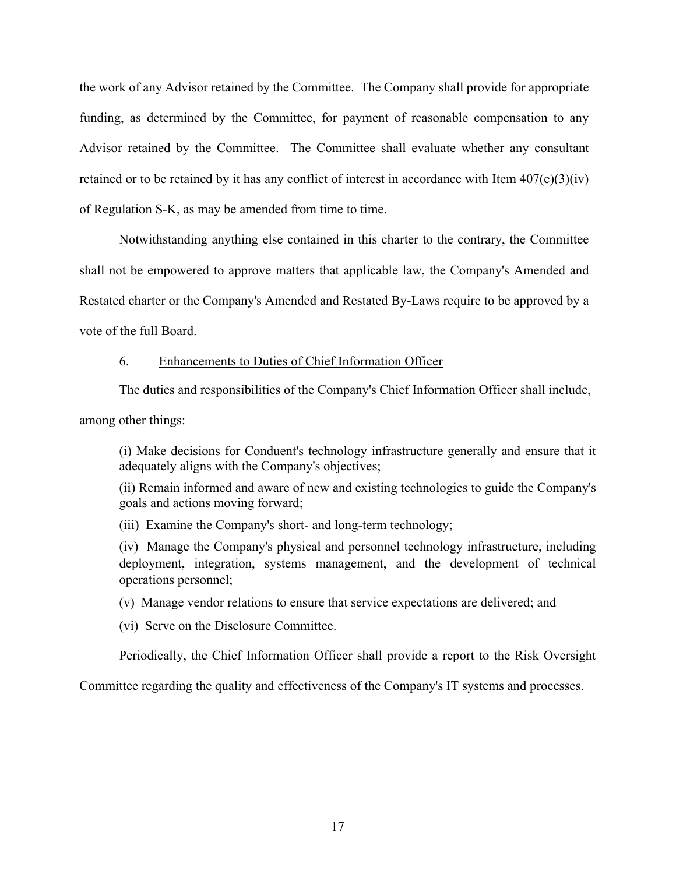the work of any Advisor retained by the Committee. The Company shall provide for appropriate funding, as determined by the Committee, for payment of reasonable compensation to any Advisor retained by the Committee. The Committee shall evaluate whether any consultant retained or to be retained by it has any conflict of interest in accordance with Item  $407(e)(3)(iv)$ of Regulation S-K, as may be amended from time to time.

 Notwithstanding anything else contained in this charter to the contrary, the Committee shall not be empowered to approve matters that applicable law, the Company's Amended and Restated charter or the Company's Amended and Restated By-Laws require to be approved by a vote of the full Board.

## 6. Enhancements to Duties of Chief Information Officer

The duties and responsibilities of the Company's Chief Information Officer shall include,

among other things:

(i) Make decisions for Conduent's technology infrastructure generally and ensure that it adequately aligns with the Company's objectives;

(ii) Remain informed and aware of new and existing technologies to guide the Company's goals and actions moving forward;

(iii) Examine the Company's short- and long-term technology;

(iv) Manage the Company's physical and personnel technology infrastructure, including deployment, integration, systems management, and the development of technical operations personnel;

(v) Manage vendor relations to ensure that service expectations are delivered; and

(vi) Serve on the Disclosure Committee.

Periodically, the Chief Information Officer shall provide a report to the Risk Oversight

Committee regarding the quality and effectiveness of the Company's IT systems and processes.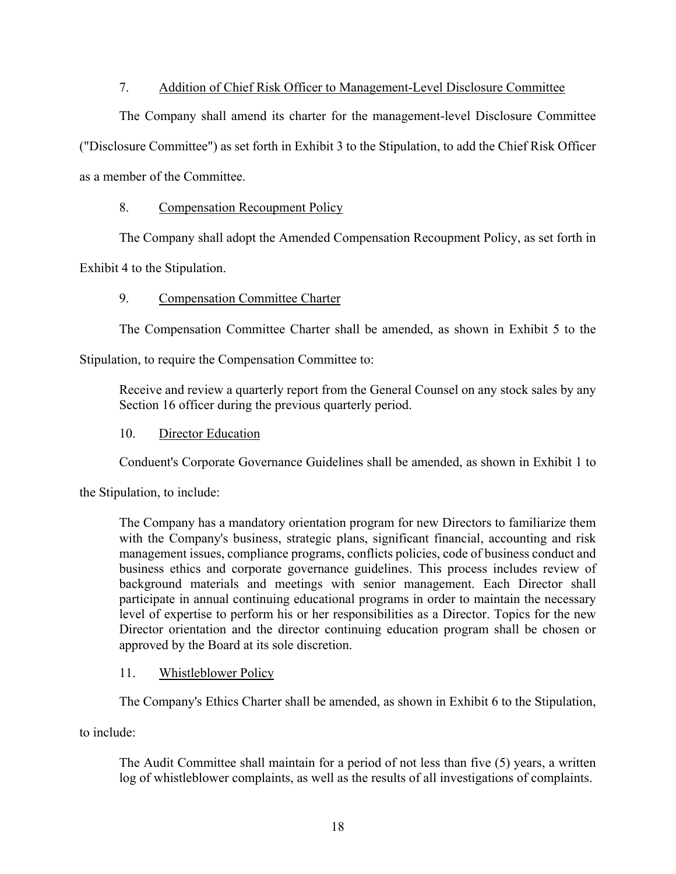## 7. Addition of Chief Risk Officer to Management-Level Disclosure Committee

The Company shall amend its charter for the management-level Disclosure Committee ("Disclosure Committee") as set forth in Exhibit 3 to the Stipulation, to add the Chief Risk Officer as a member of the Committee.

## 8. Compensation Recoupment Policy

The Company shall adopt the Amended Compensation Recoupment Policy, as set forth in

Exhibit 4 to the Stipulation.

## 9. Compensation Committee Charter

The Compensation Committee Charter shall be amended, as shown in Exhibit 5 to the

Stipulation, to require the Compensation Committee to:

Receive and review a quarterly report from the General Counsel on any stock sales by any Section 16 officer during the previous quarterly period.

## 10. Director Education

Conduent's Corporate Governance Guidelines shall be amended, as shown in Exhibit 1 to

the Stipulation, to include:

The Company has a mandatory orientation program for new Directors to familiarize them with the Company's business, strategic plans, significant financial, accounting and risk management issues, compliance programs, conflicts policies, code of business conduct and business ethics and corporate governance guidelines. This process includes review of background materials and meetings with senior management. Each Director shall participate in annual continuing educational programs in order to maintain the necessary level of expertise to perform his or her responsibilities as a Director. Topics for the new Director orientation and the director continuing education program shall be chosen or approved by the Board at its sole discretion.

## 11. Whistleblower Policy

The Company's Ethics Charter shall be amended, as shown in Exhibit 6 to the Stipulation,

to include:

The Audit Committee shall maintain for a period of not less than five (5) years, a written log of whistleblower complaints, as well as the results of all investigations of complaints.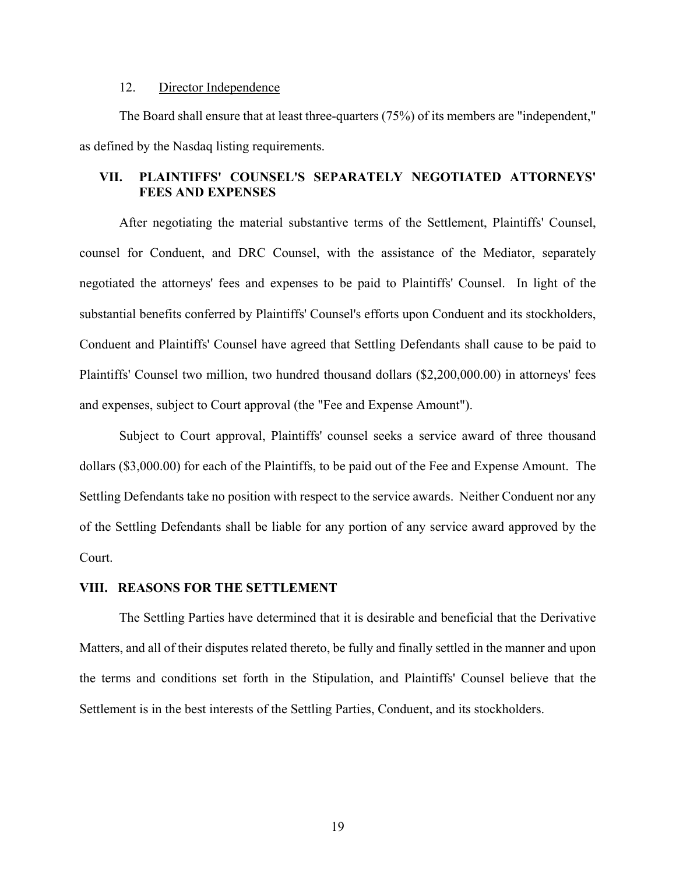## 12. Director Independence

The Board shall ensure that at least three-quarters (75%) of its members are "independent," as defined by the Nasdaq listing requirements.

## **VII. PLAINTIFFS' COUNSEL'S SEPARATELY NEGOTIATED ATTORNEYS' FEES AND EXPENSES**

After negotiating the material substantive terms of the Settlement, Plaintiffs' Counsel, counsel for Conduent, and DRC Counsel, with the assistance of the Mediator, separately negotiated the attorneys' fees and expenses to be paid to Plaintiffs' Counsel. In light of the substantial benefits conferred by Plaintiffs' Counsel's efforts upon Conduent and its stockholders, Conduent and Plaintiffs' Counsel have agreed that Settling Defendants shall cause to be paid to Plaintiffs' Counsel two million, two hundred thousand dollars (\$2,200,000.00) in attorneys' fees and expenses, subject to Court approval (the "Fee and Expense Amount").

Subject to Court approval, Plaintiffs' counsel seeks a service award of three thousand dollars (\$3,000.00) for each of the Plaintiffs, to be paid out of the Fee and Expense Amount. The Settling Defendants take no position with respect to the service awards. Neither Conduent nor any of the Settling Defendants shall be liable for any portion of any service award approved by the Court.

### **VIII. REASONS FOR THE SETTLEMENT**

The Settling Parties have determined that it is desirable and beneficial that the Derivative Matters, and all of their disputes related thereto, be fully and finally settled in the manner and upon the terms and conditions set forth in the Stipulation, and Plaintiffs' Counsel believe that the Settlement is in the best interests of the Settling Parties, Conduent, and its stockholders.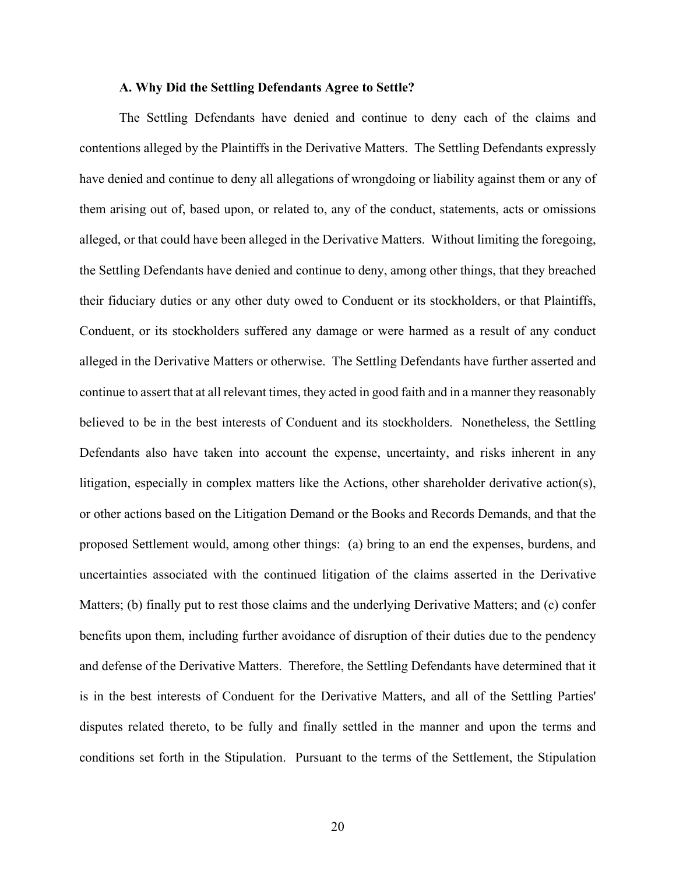#### **A. Why Did the Settling Defendants Agree to Settle?**

The Settling Defendants have denied and continue to deny each of the claims and contentions alleged by the Plaintiffs in the Derivative Matters. The Settling Defendants expressly have denied and continue to deny all allegations of wrongdoing or liability against them or any of them arising out of, based upon, or related to, any of the conduct, statements, acts or omissions alleged, or that could have been alleged in the Derivative Matters. Without limiting the foregoing, the Settling Defendants have denied and continue to deny, among other things, that they breached their fiduciary duties or any other duty owed to Conduent or its stockholders, or that Plaintiffs, Conduent, or its stockholders suffered any damage or were harmed as a result of any conduct alleged in the Derivative Matters or otherwise. The Settling Defendants have further asserted and continue to assert that at all relevant times, they acted in good faith and in a manner they reasonably believed to be in the best interests of Conduent and its stockholders. Nonetheless, the Settling Defendants also have taken into account the expense, uncertainty, and risks inherent in any litigation, especially in complex matters like the Actions, other shareholder derivative action(s), or other actions based on the Litigation Demand or the Books and Records Demands, and that the proposed Settlement would, among other things: (a) bring to an end the expenses, burdens, and uncertainties associated with the continued litigation of the claims asserted in the Derivative Matters; (b) finally put to rest those claims and the underlying Derivative Matters; and (c) confer benefits upon them, including further avoidance of disruption of their duties due to the pendency and defense of the Derivative Matters. Therefore, the Settling Defendants have determined that it is in the best interests of Conduent for the Derivative Matters, and all of the Settling Parties' disputes related thereto, to be fully and finally settled in the manner and upon the terms and conditions set forth in the Stipulation. Pursuant to the terms of the Settlement, the Stipulation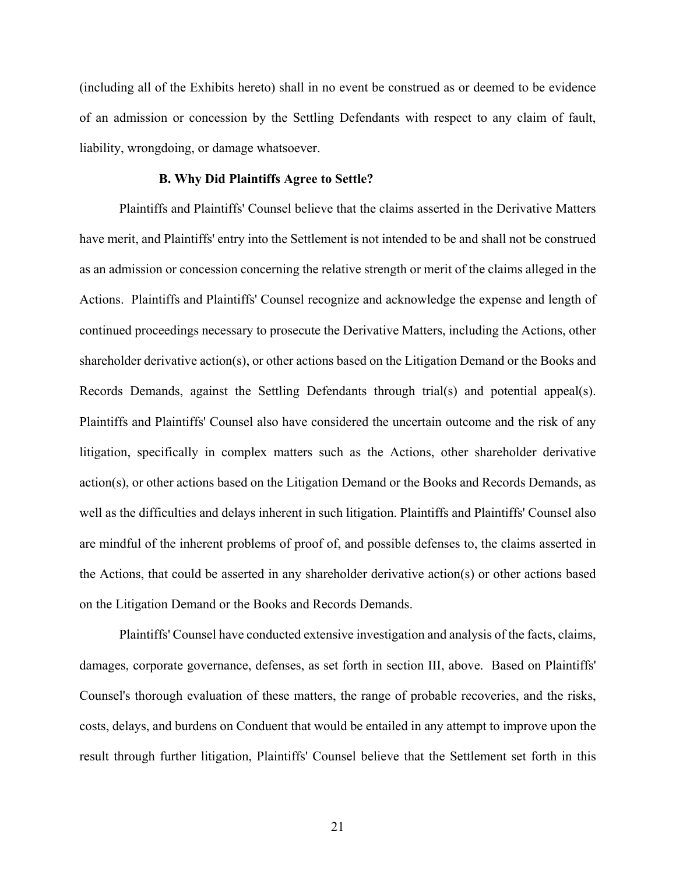(including all of the Exhibits hereto) shall in no event be construed as or deemed to be evidence of an admission or concession by the Settling Defendants with respect to any claim of fault, liability, wrongdoing, or damage whatsoever.

## **B. Why Did Plaintiffs Agree to Settle?**

 Plaintiffs and Plaintiffs' Counsel believe that the claims asserted in the Derivative Matters have merit, and Plaintiffs' entry into the Settlement is not intended to be and shall not be construed as an admission or concession concerning the relative strength or merit of the claims alleged in the Actions. Plaintiffs and Plaintiffs' Counsel recognize and acknowledge the expense and length of continued proceedings necessary to prosecute the Derivative Matters, including the Actions, other shareholder derivative action(s), or other actions based on the Litigation Demand or the Books and Records Demands, against the Settling Defendants through trial(s) and potential appeal(s). Plaintiffs and Plaintiffs' Counsel also have considered the uncertain outcome and the risk of any litigation, specifically in complex matters such as the Actions, other shareholder derivative action(s), or other actions based on the Litigation Demand or the Books and Records Demands, as well as the difficulties and delays inherent in such litigation. Plaintiffs and Plaintiffs' Counsel also are mindful of the inherent problems of proof of, and possible defenses to, the claims asserted in the Actions, that could be asserted in any shareholder derivative action(s) or other actions based on the Litigation Demand or the Books and Records Demands.

 Plaintiffs' Counsel have conducted extensive investigation and analysis of the facts, claims, damages, corporate governance, defenses, as set forth in section III, above. Based on Plaintiffs' Counsel's thorough evaluation of these matters, the range of probable recoveries, and the risks, costs, delays, and burdens on Conduent that would be entailed in any attempt to improve upon the result through further litigation, Plaintiffs' Counsel believe that the Settlement set forth in this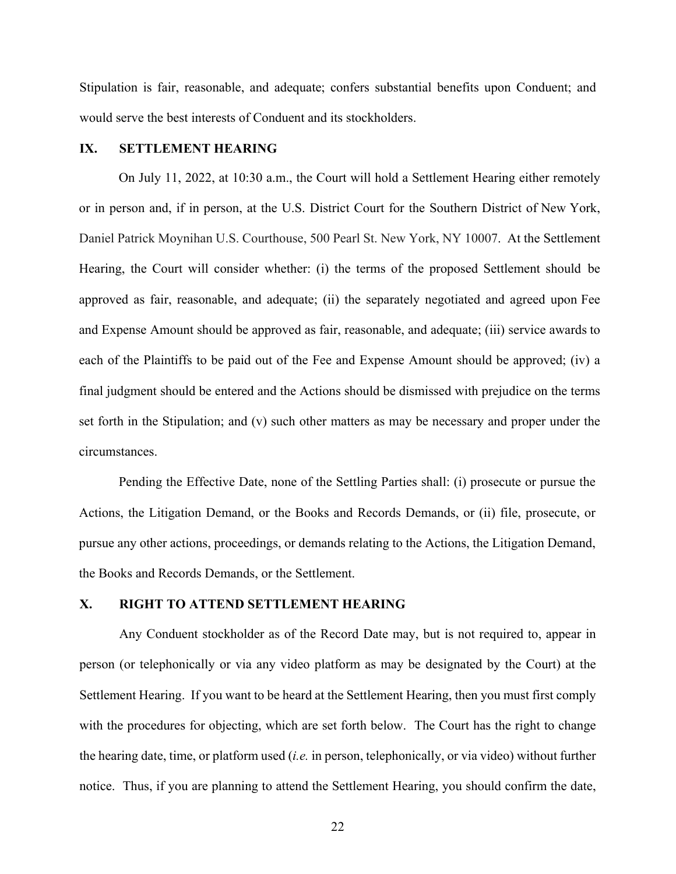Stipulation is fair, reasonable, and adequate; confers substantial benefits upon Conduent; and would serve the best interests of Conduent and its stockholders.

#### **IX. SETTLEMENT HEARING**

On July 11, 2022, at 10:30 a.m., the Court will hold a Settlement Hearing either remotely or in person and, if in person, at the U.S. District Court for the Southern District of New York, Daniel Patrick Moynihan U.S. Courthouse, 500 Pearl St. New York, NY 10007. At the Settlement Hearing, the Court will consider whether: (i) the terms of the proposed Settlement should be approved as fair, reasonable, and adequate; (ii) the separately negotiated and agreed upon Fee and Expense Amount should be approved as fair, reasonable, and adequate; (iii) service awards to each of the Plaintiffs to be paid out of the Fee and Expense Amount should be approved; (iv) a final judgment should be entered and the Actions should be dismissed with prejudice on the terms set forth in the Stipulation; and (v) such other matters as may be necessary and proper under the circumstances.

Pending the Effective Date, none of the Settling Parties shall: (i) prosecute or pursue the Actions, the Litigation Demand, or the Books and Records Demands, or (ii) file, prosecute, or pursue any other actions, proceedings, or demands relating to the Actions, the Litigation Demand, the Books and Records Demands, or the Settlement.

# **X. RIGHT TO ATTEND SETTLEMENT HEARING**

Any Conduent stockholder as of the Record Date may, but is not required to, appear in person (or telephonically or via any video platform as may be designated by the Court) at the Settlement Hearing. If you want to be heard at the Settlement Hearing, then you must first comply with the procedures for objecting, which are set forth below. The Court has the right to change the hearing date, time, or platform used (*i.e.* in person, telephonically, or via video) without further notice. Thus, if you are planning to attend the Settlement Hearing, you should confirm the date,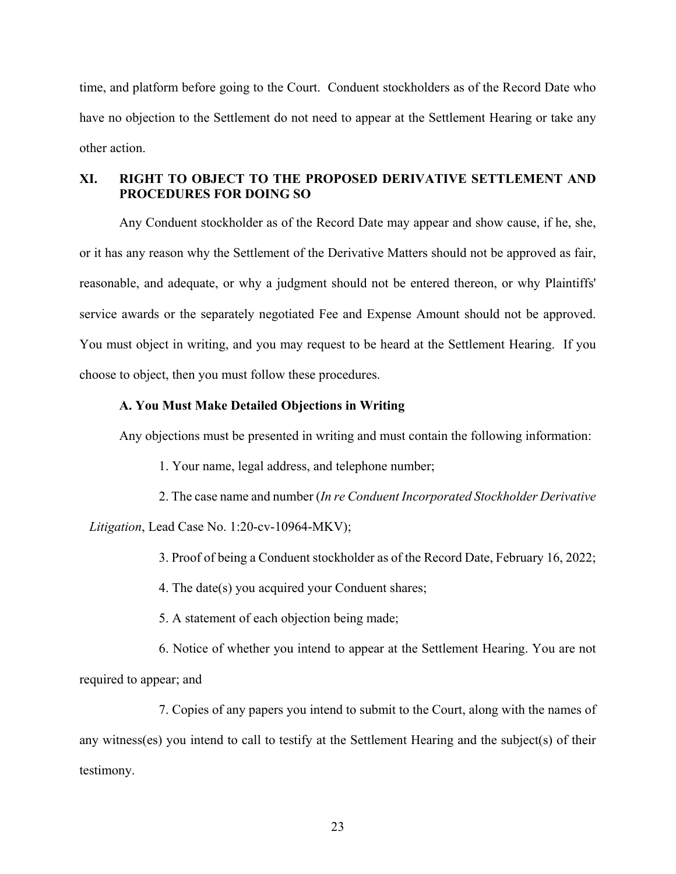time, and platform before going to the Court. Conduent stockholders as of the Record Date who have no objection to the Settlement do not need to appear at the Settlement Hearing or take any other action.

# **XI. RIGHT TO OBJECT TO THE PROPOSED DERIVATIVE SETTLEMENT AND PROCEDURES FOR DOING SO**

Any Conduent stockholder as of the Record Date may appear and show cause, if he, she, or it has any reason why the Settlement of the Derivative Matters should not be approved as fair, reasonable, and adequate, or why a judgment should not be entered thereon, or why Plaintiffs' service awards or the separately negotiated Fee and Expense Amount should not be approved. You must object in writing, and you may request to be heard at the Settlement Hearing. If you choose to object, then you must follow these procedures.

#### **A. You Must Make Detailed Objections in Writing**

Any objections must be presented in writing and must contain the following information:

- 1. Your name, legal address, and telephone number;
- 2. The case name and number (*In re Conduent Incorporated Stockholder Derivative Litigation*, Lead Case No. 1:20-cv-10964-MKV);
	- 3. Proof of being a Conduent stockholder as of the Record Date, February 16, 2022;
	- 4. The date(s) you acquired your Conduent shares;
	- 5. A statement of each objection being made;
- 6. Notice of whether you intend to appear at the Settlement Hearing. You are not required to appear; and

 7. Copies of any papers you intend to submit to the Court, along with the names of any witness(es) you intend to call to testify at the Settlement Hearing and the subject(s) of their testimony.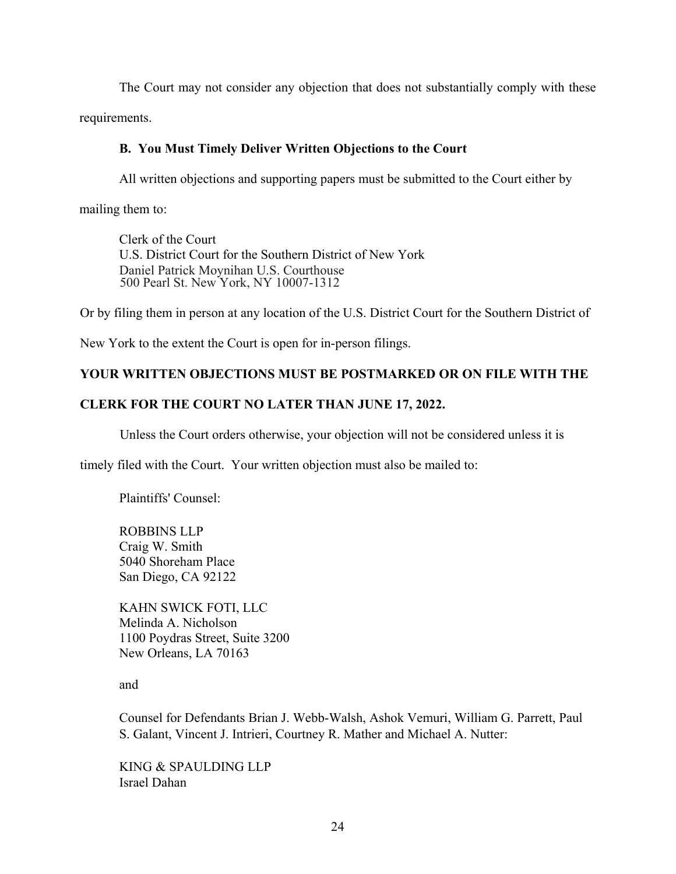The Court may not consider any objection that does not substantially comply with these requirements.

# **B. You Must Timely Deliver Written Objections to the Court**

All written objections and supporting papers must be submitted to the Court either by

mailing them to:

Clerk of the Court U.S. District Court for the Southern District of New York Daniel Patrick Moynihan U.S. Courthouse 500 Pearl St. New York, NY 10007-1312

Or by filing them in person at any location of the U.S. District Court for the Southern District of

New York to the extent the Court is open for in-person filings.

# **YOUR WRITTEN OBJECTIONS MUST BE POSTMARKED OR ON FILE WITH THE**

# **CLERK FOR THE COURT NO LATER THAN JUNE 17, 2022.**

Unless the Court orders otherwise, your objection will not be considered unless it is

timely filed with the Court. Your written objection must also be mailed to:

Plaintiffs' Counsel:

ROBBINS LLP Craig W. Smith 5040 Shoreham Place San Diego, CA 92122

KAHN SWICK FOTI, LLC Melinda A. Nicholson 1100 Poydras Street, Suite 3200 New Orleans, LA 70163

and

Counsel for Defendants Brian J. Webb-Walsh, Ashok Vemuri, William G. Parrett, Paul S. Galant, Vincent J. Intrieri, Courtney R. Mather and Michael A. Nutter:

KING & SPAULDING LLP Israel Dahan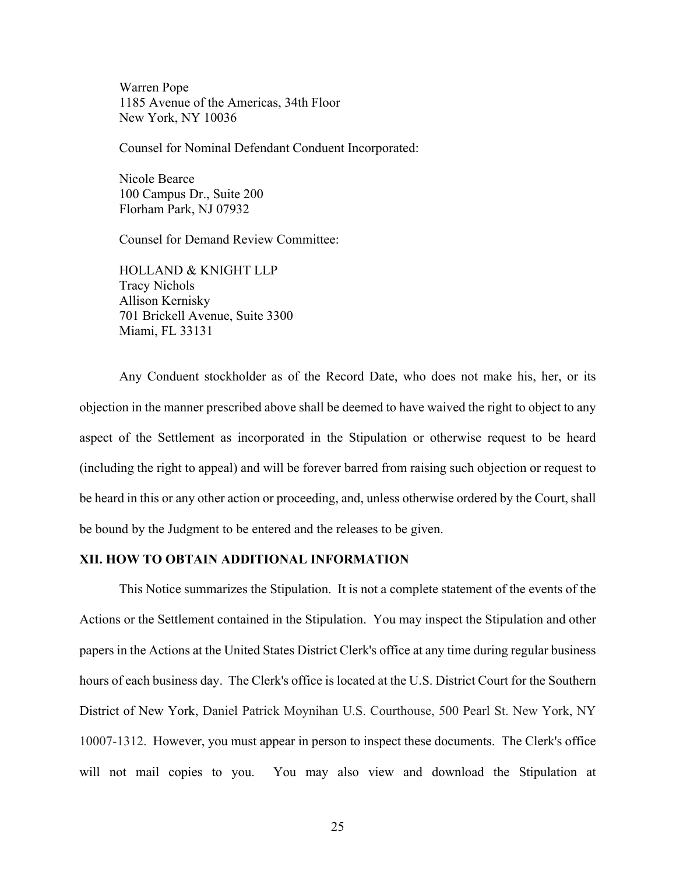Warren Pope 1185 Avenue of the Americas, 34th Floor New York, NY 10036

Counsel for Nominal Defendant Conduent Incorporated:

Nicole Bearce 100 Campus Dr., Suite 200 Florham Park, NJ 07932

Counsel for Demand Review Committee:

HOLLAND & KNIGHT LLP Tracy Nichols Allison Kernisky 701 Brickell Avenue, Suite 3300 Miami, FL 33131

Any Conduent stockholder as of the Record Date, who does not make his, her, or its objection in the manner prescribed above shall be deemed to have waived the right to object to any aspect of the Settlement as incorporated in the Stipulation or otherwise request to be heard (including the right to appeal) and will be forever barred from raising such objection or request to be heard in this or any other action or proceeding, and, unless otherwise ordered by the Court, shall be bound by the Judgment to be entered and the releases to be given.

## **XII. HOW TO OBTAIN ADDITIONAL INFORMATION**

This Notice summarizes the Stipulation. It is not a complete statement of the events of the Actions or the Settlement contained in the Stipulation. You may inspect the Stipulation and other papers in the Actions at the United States District Clerk's office at any time during regular business hours of each business day. The Clerk's office is located at the U.S. District Court for the Southern District of New York, Daniel Patrick Moynihan U.S. Courthouse, 500 Pearl St. New York, NY 10007-1312. However, you must appear in person to inspect these documents. The Clerk's office will not mail copies to you. You may also view and download the Stipulation at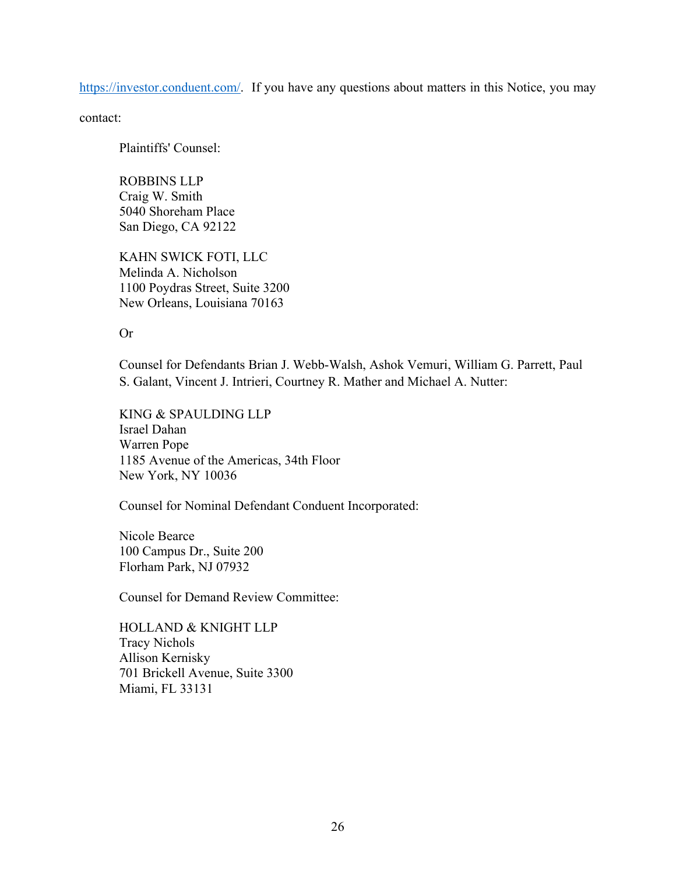https://investor.conduent.com/. If you have any questions about matters in this Notice, you may

contact:

Plaintiffs' Counsel:

ROBBINS LLP Craig W. Smith 5040 Shoreham Place San Diego, CA 92122

KAHN SWICK FOTI, LLC Melinda A. Nicholson 1100 Poydras Street, Suite 3200 New Orleans, Louisiana 70163

Or

Counsel for Defendants Brian J. Webb-Walsh, Ashok Vemuri, William G. Parrett, Paul S. Galant, Vincent J. Intrieri, Courtney R. Mather and Michael A. Nutter:

KING & SPAULDING LLP Israel Dahan Warren Pope 1185 Avenue of the Americas, 34th Floor New York, NY 10036

Counsel for Nominal Defendant Conduent Incorporated:

Nicole Bearce 100 Campus Dr., Suite 200 Florham Park, NJ 07932

Counsel for Demand Review Committee:

HOLLAND & KNIGHT LLP Tracy Nichols Allison Kernisky 701 Brickell Avenue, Suite 3300 Miami, FL 33131